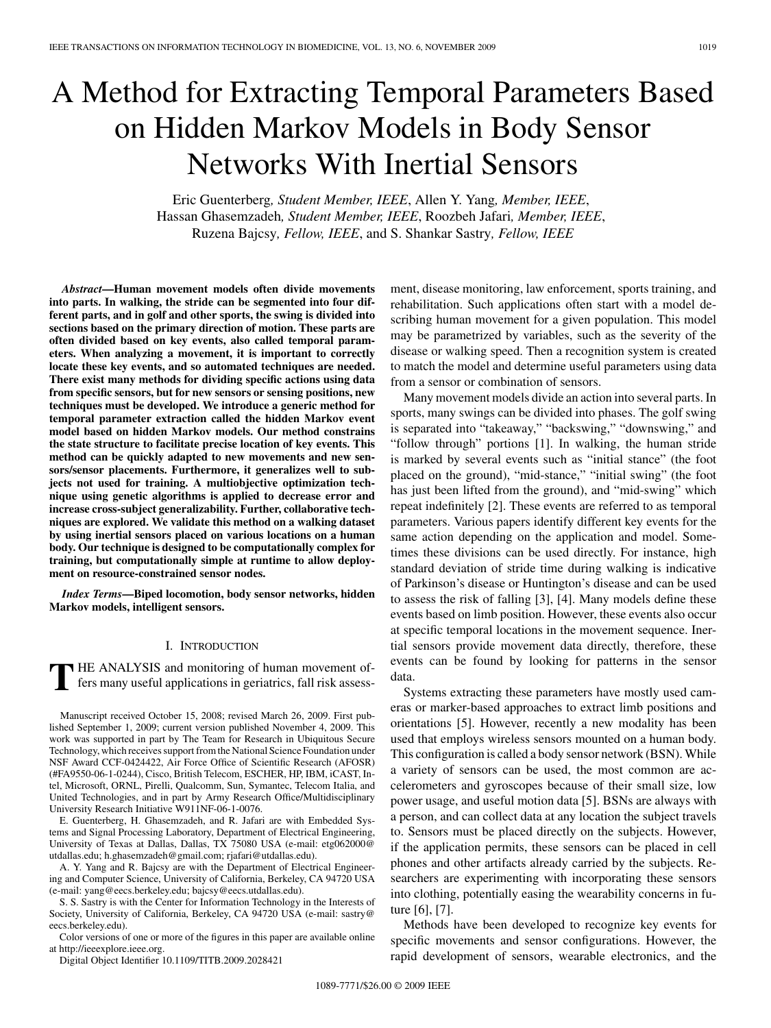# A Method for Extracting Temporal Parameters Based on Hidden Markov Models in Body Sensor Networks With Inertial Sensors

Eric Guenterberg*, Student Member, IEEE*, Allen Y. Yang*, Member, IEEE*, Hassan Ghasemzadeh*, Student Member, IEEE*, Roozbeh Jafari*, Member, IEEE*, Ruzena Bajcsy*, Fellow, IEEE*, and S. Shankar Sastry*, Fellow, IEEE*

*Abstract***—Human movement models often divide movements into parts. In walking, the stride can be segmented into four different parts, and in golf and other sports, the swing is divided into sections based on the primary direction of motion. These parts are often divided based on key events, also called temporal parameters. When analyzing a movement, it is important to correctly locate these key events, and so automated techniques are needed. There exist many methods for dividing specific actions using data from specific sensors, but for new sensors or sensing positions, new techniques must be developed. We introduce a generic method for temporal parameter extraction called the hidden Markov event model based on hidden Markov models. Our method constrains the state structure to facilitate precise location of key events. This method can be quickly adapted to new movements and new sensors/sensor placements. Furthermore, it generalizes well to subjects not used for training. A multiobjective optimization technique using genetic algorithms is applied to decrease error and increase cross-subject generalizability. Further, collaborative techniques are explored. We validate this method on a walking dataset by using inertial sensors placed on various locations on a human body. Our technique is designed to be computationally complex for training, but computationally simple at runtime to allow deployment on resource-constrained sensor nodes.**

*Index Terms***—Biped locomotion, body sensor networks, hidden Markov models, intelligent sensors.**

#### I. INTRODUCTION

**T** HE ANALYSIS and monitoring of human movement of-<br>fers many useful applications in geriatrics, fall risk assess-

Manuscript received October 15, 2008; revised March 26, 2009. First published September 1, 2009; current version published November 4, 2009. This work was supported in part by The Team for Research in Ubiquitous Secure Technology, which receives support from the National Science Foundation under NSF Award CCF-0424422, Air Force Office of Scientific Research (AFOSR) (#FA9550-06-1-0244), Cisco, British Telecom, ESCHER, HP, IBM, iCAST, Intel, Microsoft, ORNL, Pirelli, Qualcomm, Sun, Symantec, Telecom Italia, and United Technologies, and in part by Army Research Office/Multidisciplinary University Research Initiative W911NF-06-1-0076.

E. Guenterberg, H. Ghasemzadeh, and R. Jafari are with Embedded Systems and Signal Processing Laboratory, Department of Electrical Engineering, University of Texas at Dallas, Dallas, TX 75080 USA (e-mail: etg062000@ utdallas.edu; h.ghasemzadeh@gmail.com; rjafari@utdallas.edu).

A. Y. Yang and R. Bajcsy are with the Department of Electrical Engineering and Computer Science, University of California, Berkeley, CA 94720 USA (e-mail: yang@eecs.berkeley.edu; bajcsy@eecs.utdallas.edu).

S. S. Sastry is with the Center for Information Technology in the Interests of Society, University of California, Berkeley, CA 94720 USA (e-mail: sastry@ eecs.berkeley.edu).

Color versions of one or more of the figures in this paper are available online at http://ieeexplore.ieee.org.

Digital Object Identifier 10.1109/TITB.2009.2028421

ment, disease monitoring, law enforcement, sports training, and rehabilitation. Such applications often start with a model describing human movement for a given population. This model may be parametrized by variables, such as the severity of the disease or walking speed. Then a recognition system is created to match the model and determine useful parameters using data from a sensor or combination of sensors.

Many movement models divide an action into several parts. In sports, many swings can be divided into phases. The golf swing is separated into "takeaway," "backswing," "downswing," and "follow through" portions [1]. In walking, the human stride is marked by several events such as "initial stance" (the foot placed on the ground), "mid-stance," "initial swing" (the foot has just been lifted from the ground), and "mid-swing" which repeat indefinitely [2]. These events are referred to as temporal parameters. Various papers identify different key events for the same action depending on the application and model. Sometimes these divisions can be used directly. For instance, high standard deviation of stride time during walking is indicative of Parkinson's disease or Huntington's disease and can be used to assess the risk of falling [3], [4]. Many models define these events based on limb position. However, these events also occur at specific temporal locations in the movement sequence. Inertial sensors provide movement data directly, therefore, these events can be found by looking for patterns in the sensor data.

Systems extracting these parameters have mostly used cameras or marker-based approaches to extract limb positions and orientations [5]. However, recently a new modality has been used that employs wireless sensors mounted on a human body. This configuration is called a body sensor network (BSN). While a variety of sensors can be used, the most common are accelerometers and gyroscopes because of their small size, low power usage, and useful motion data [5]. BSNs are always with a person, and can collect data at any location the subject travels to. Sensors must be placed directly on the subjects. However, if the application permits, these sensors can be placed in cell phones and other artifacts already carried by the subjects. Researchers are experimenting with incorporating these sensors into clothing, potentially easing the wearability concerns in future [6], [7].

Methods have been developed to recognize key events for specific movements and sensor configurations. However, the rapid development of sensors, wearable electronics, and the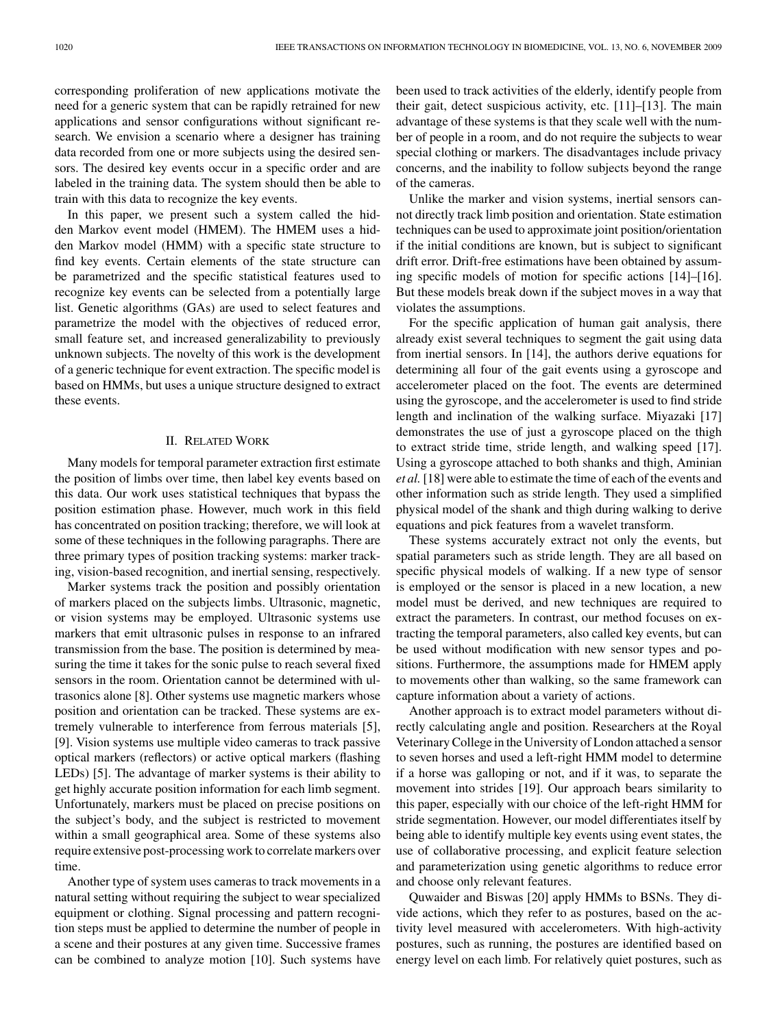corresponding proliferation of new applications motivate the need for a generic system that can be rapidly retrained for new applications and sensor configurations without significant research. We envision a scenario where a designer has training data recorded from one or more subjects using the desired sensors. The desired key events occur in a specific order and are labeled in the training data. The system should then be able to train with this data to recognize the key events.

In this paper, we present such a system called the hidden Markov event model (HMEM). The HMEM uses a hidden Markov model (HMM) with a specific state structure to find key events. Certain elements of the state structure can be parametrized and the specific statistical features used to recognize key events can be selected from a potentially large list. Genetic algorithms (GAs) are used to select features and parametrize the model with the objectives of reduced error, small feature set, and increased generalizability to previously unknown subjects. The novelty of this work is the development of a generic technique for event extraction. The specific model is based on HMMs, but uses a unique structure designed to extract these events.

## II. RELATED WORK

Many models for temporal parameter extraction first estimate the position of limbs over time, then label key events based on this data. Our work uses statistical techniques that bypass the position estimation phase. However, much work in this field has concentrated on position tracking; therefore, we will look at some of these techniques in the following paragraphs. There are three primary types of position tracking systems: marker tracking, vision-based recognition, and inertial sensing, respectively.

Marker systems track the position and possibly orientation of markers placed on the subjects limbs. Ultrasonic, magnetic, or vision systems may be employed. Ultrasonic systems use markers that emit ultrasonic pulses in response to an infrared transmission from the base. The position is determined by measuring the time it takes for the sonic pulse to reach several fixed sensors in the room. Orientation cannot be determined with ultrasonics alone [8]. Other systems use magnetic markers whose position and orientation can be tracked. These systems are extremely vulnerable to interference from ferrous materials [5], [9]. Vision systems use multiple video cameras to track passive optical markers (reflectors) or active optical markers (flashing LEDs) [5]. The advantage of marker systems is their ability to get highly accurate position information for each limb segment. Unfortunately, markers must be placed on precise positions on the subject's body, and the subject is restricted to movement within a small geographical area. Some of these systems also require extensive post-processing work to correlate markers over time.

Another type of system uses cameras to track movements in a natural setting without requiring the subject to wear specialized equipment or clothing. Signal processing and pattern recognition steps must be applied to determine the number of people in a scene and their postures at any given time. Successive frames can be combined to analyze motion [10]. Such systems have

been used to track activities of the elderly, identify people from their gait, detect suspicious activity, etc. [11]–[13]. The main advantage of these systems is that they scale well with the number of people in a room, and do not require the subjects to wear special clothing or markers. The disadvantages include privacy concerns, and the inability to follow subjects beyond the range of the cameras.

Unlike the marker and vision systems, inertial sensors cannot directly track limb position and orientation. State estimation techniques can be used to approximate joint position/orientation if the initial conditions are known, but is subject to significant drift error. Drift-free estimations have been obtained by assuming specific models of motion for specific actions [14]–[16]. But these models break down if the subject moves in a way that violates the assumptions.

For the specific application of human gait analysis, there already exist several techniques to segment the gait using data from inertial sensors. In [14], the authors derive equations for determining all four of the gait events using a gyroscope and accelerometer placed on the foot. The events are determined using the gyroscope, and the accelerometer is used to find stride length and inclination of the walking surface. Miyazaki [17] demonstrates the use of just a gyroscope placed on the thigh to extract stride time, stride length, and walking speed [17]. Using a gyroscope attached to both shanks and thigh, Aminian *et al.* [18] were able to estimate the time of each of the events and other information such as stride length. They used a simplified physical model of the shank and thigh during walking to derive equations and pick features from a wavelet transform.

These systems accurately extract not only the events, but spatial parameters such as stride length. They are all based on specific physical models of walking. If a new type of sensor is employed or the sensor is placed in a new location, a new model must be derived, and new techniques are required to extract the parameters. In contrast, our method focuses on extracting the temporal parameters, also called key events, but can be used without modification with new sensor types and positions. Furthermore, the assumptions made for HMEM apply to movements other than walking, so the same framework can capture information about a variety of actions.

Another approach is to extract model parameters without directly calculating angle and position. Researchers at the Royal Veterinary College in the University of London attached a sensor to seven horses and used a left-right HMM model to determine if a horse was galloping or not, and if it was, to separate the movement into strides [19]. Our approach bears similarity to this paper, especially with our choice of the left-right HMM for stride segmentation. However, our model differentiates itself by being able to identify multiple key events using event states, the use of collaborative processing, and explicit feature selection and parameterization using genetic algorithms to reduce error and choose only relevant features.

Quwaider and Biswas [20] apply HMMs to BSNs. They divide actions, which they refer to as postures, based on the activity level measured with accelerometers. With high-activity postures, such as running, the postures are identified based on energy level on each limb. For relatively quiet postures, such as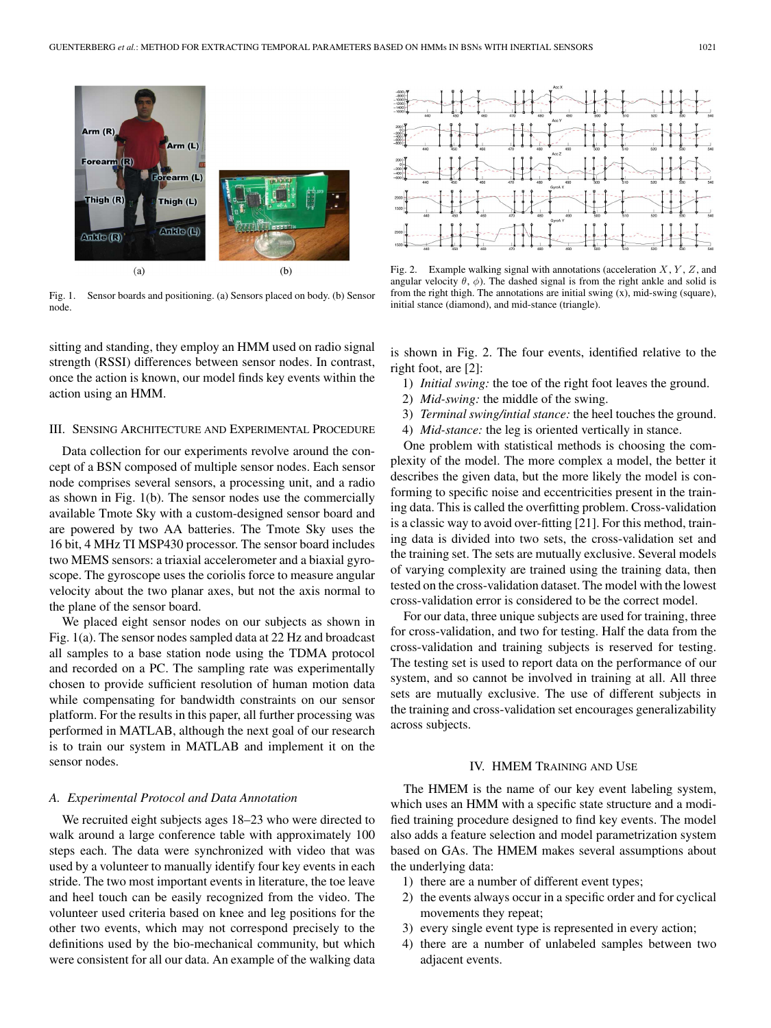

Fig. 1. Sensor boards and positioning. (a) Sensors placed on body. (b) Sensor node.

sitting and standing, they employ an HMM used on radio signal strength (RSSI) differences between sensor nodes. In contrast, once the action is known, our model finds key events within the action using an HMM.

# III. SENSING ARCHITECTURE AND EXPERIMENTAL PROCEDURE

Data collection for our experiments revolve around the concept of a BSN composed of multiple sensor nodes. Each sensor node comprises several sensors, a processing unit, and a radio as shown in Fig. 1(b). The sensor nodes use the commercially available Tmote Sky with a custom-designed sensor board and are powered by two AA batteries. The Tmote Sky uses the 16 bit, 4 MHz TI MSP430 processor. The sensor board includes two MEMS sensors: a triaxial accelerometer and a biaxial gyroscope. The gyroscope uses the coriolis force to measure angular velocity about the two planar axes, but not the axis normal to the plane of the sensor board.

We placed eight sensor nodes on our subjects as shown in Fig. 1(a). The sensor nodes sampled data at 22 Hz and broadcast all samples to a base station node using the TDMA protocol and recorded on a PC. The sampling rate was experimentally chosen to provide sufficient resolution of human motion data while compensating for bandwidth constraints on our sensor platform. For the results in this paper, all further processing was performed in MATLAB, although the next goal of our research is to train our system in MATLAB and implement it on the sensor nodes.

## *A. Experimental Protocol and Data Annotation*

We recruited eight subjects ages 18–23 who were directed to walk around a large conference table with approximately 100 steps each. The data were synchronized with video that was used by a volunteer to manually identify four key events in each stride. The two most important events in literature, the toe leave and heel touch can be easily recognized from the video. The volunteer used criteria based on knee and leg positions for the other two events, which may not correspond precisely to the definitions used by the bio-mechanical community, but which were consistent for all our data. An example of the walking data



Fig. 2. Example walking signal with annotations (acceleration  $X, Y, Z$ , and angular velocity  $\theta$ ,  $\phi$ ). The dashed signal is from the right ankle and solid is from the right thigh. The annotations are initial swing (x), mid-swing (square), initial stance (diamond), and mid-stance (triangle).

is shown in Fig. 2. The four events, identified relative to the right foot, are [2]:

- 1) *Initial swing:* the toe of the right foot leaves the ground.
- 2) *Mid-swing:* the middle of the swing.
- 3) *Terminal swing/intial stance:* the heel touches the ground.
- 4) *Mid-stance:* the leg is oriented vertically in stance.

One problem with statistical methods is choosing the complexity of the model. The more complex a model, the better it describes the given data, but the more likely the model is conforming to specific noise and eccentricities present in the training data. This is called the overfitting problem. Cross-validation is a classic way to avoid over-fitting [21]. For this method, training data is divided into two sets, the cross-validation set and the training set. The sets are mutually exclusive. Several models of varying complexity are trained using the training data, then tested on the cross-validation dataset. The model with the lowest cross-validation error is considered to be the correct model.

For our data, three unique subjects are used for training, three for cross-validation, and two for testing. Half the data from the cross-validation and training subjects is reserved for testing. The testing set is used to report data on the performance of our system, and so cannot be involved in training at all. All three sets are mutually exclusive. The use of different subjects in the training and cross-validation set encourages generalizability across subjects.

#### IV. HMEM TRAINING AND USE

The HMEM is the name of our key event labeling system, which uses an HMM with a specific state structure and a modified training procedure designed to find key events. The model also adds a feature selection and model parametrization system based on GAs. The HMEM makes several assumptions about the underlying data:

- 1) there are a number of different event types;
- 2) the events always occur in a specific order and for cyclical movements they repeat;
- 3) every single event type is represented in every action;
- 4) there are a number of unlabeled samples between two adjacent events.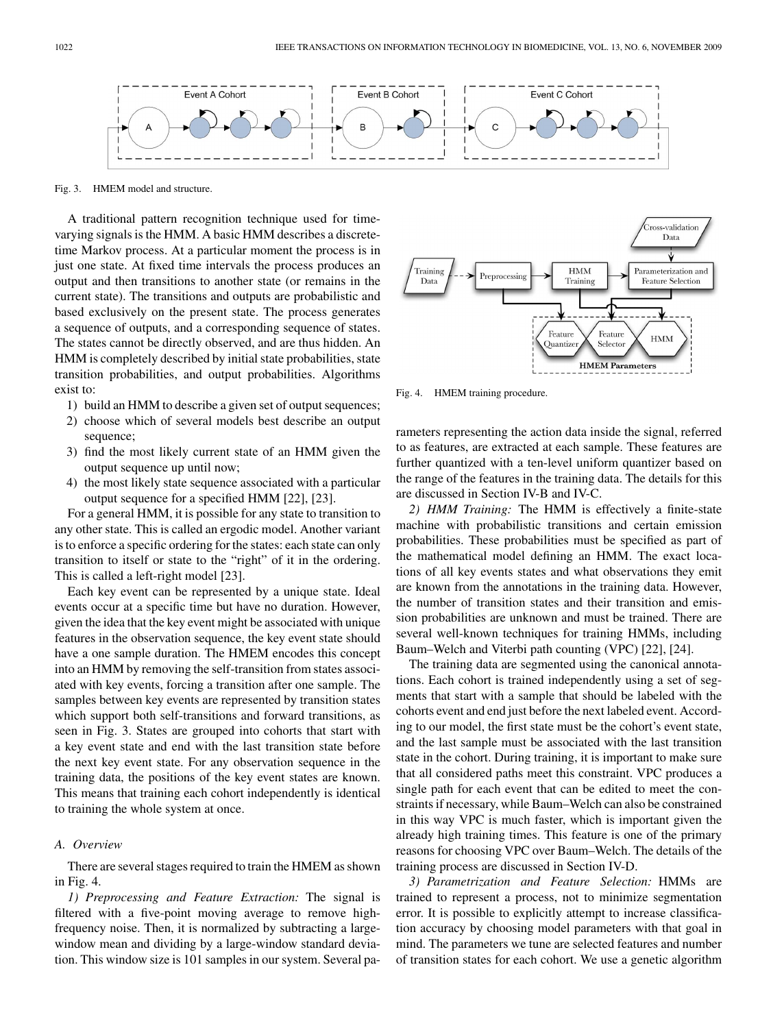

Fig. 3. HMEM model and structure.

A traditional pattern recognition technique used for timevarying signals is the HMM. A basic HMM describes a discretetime Markov process. At a particular moment the process is in just one state. At fixed time intervals the process produces an output and then transitions to another state (or remains in the current state). The transitions and outputs are probabilistic and based exclusively on the present state. The process generates a sequence of outputs, and a corresponding sequence of states. The states cannot be directly observed, and are thus hidden. An HMM is completely described by initial state probabilities, state transition probabilities, and output probabilities. Algorithms exist to:

- 1) build an HMM to describe a given set of output sequences;
- 2) choose which of several models best describe an output sequence;
- 3) find the most likely current state of an HMM given the output sequence up until now;
- 4) the most likely state sequence associated with a particular output sequence for a specified HMM [22], [23].

For a general HMM, it is possible for any state to transition to any other state. This is called an ergodic model. Another variant is to enforce a specific ordering for the states: each state can only transition to itself or state to the "right" of it in the ordering. This is called a left-right model [23].

Each key event can be represented by a unique state. Ideal events occur at a specific time but have no duration. However, given the idea that the key event might be associated with unique features in the observation sequence, the key event state should have a one sample duration. The HMEM encodes this concept into an HMM by removing the self-transition from states associated with key events, forcing a transition after one sample. The samples between key events are represented by transition states which support both self-transitions and forward transitions, as seen in Fig. 3. States are grouped into cohorts that start with a key event state and end with the last transition state before the next key event state. For any observation sequence in the training data, the positions of the key event states are known. This means that training each cohort independently is identical to training the whole system at once.

#### *A. Overview*

There are several stages required to train the HMEM as shown in Fig. 4.

*1) Preprocessing and Feature Extraction:* The signal is filtered with a five-point moving average to remove highfrequency noise. Then, it is normalized by subtracting a largewindow mean and dividing by a large-window standard deviation. This window size is 101 samples in our system. Several pa-



Fig. 4. HMEM training procedure.

rameters representing the action data inside the signal, referred to as features, are extracted at each sample. These features are further quantized with a ten-level uniform quantizer based on the range of the features in the training data. The details for this are discussed in Section IV-B and IV-C.

*2) HMM Training:* The HMM is effectively a finite-state machine with probabilistic transitions and certain emission probabilities. These probabilities must be specified as part of the mathematical model defining an HMM. The exact locations of all key events states and what observations they emit are known from the annotations in the training data. However, the number of transition states and their transition and emission probabilities are unknown and must be trained. There are several well-known techniques for training HMMs, including Baum–Welch and Viterbi path counting (VPC) [22], [24].

The training data are segmented using the canonical annotations. Each cohort is trained independently using a set of segments that start with a sample that should be labeled with the cohorts event and end just before the next labeled event. According to our model, the first state must be the cohort's event state, and the last sample must be associated with the last transition state in the cohort. During training, it is important to make sure that all considered paths meet this constraint. VPC produces a single path for each event that can be edited to meet the constraints if necessary, while Baum–Welch can also be constrained in this way VPC is much faster, which is important given the already high training times. This feature is one of the primary reasons for choosing VPC over Baum–Welch. The details of the training process are discussed in Section IV-D.

*3) Parametrization and Feature Selection:* HMMs are trained to represent a process, not to minimize segmentation error. It is possible to explicitly attempt to increase classification accuracy by choosing model parameters with that goal in mind. The parameters we tune are selected features and number of transition states for each cohort. We use a genetic algorithm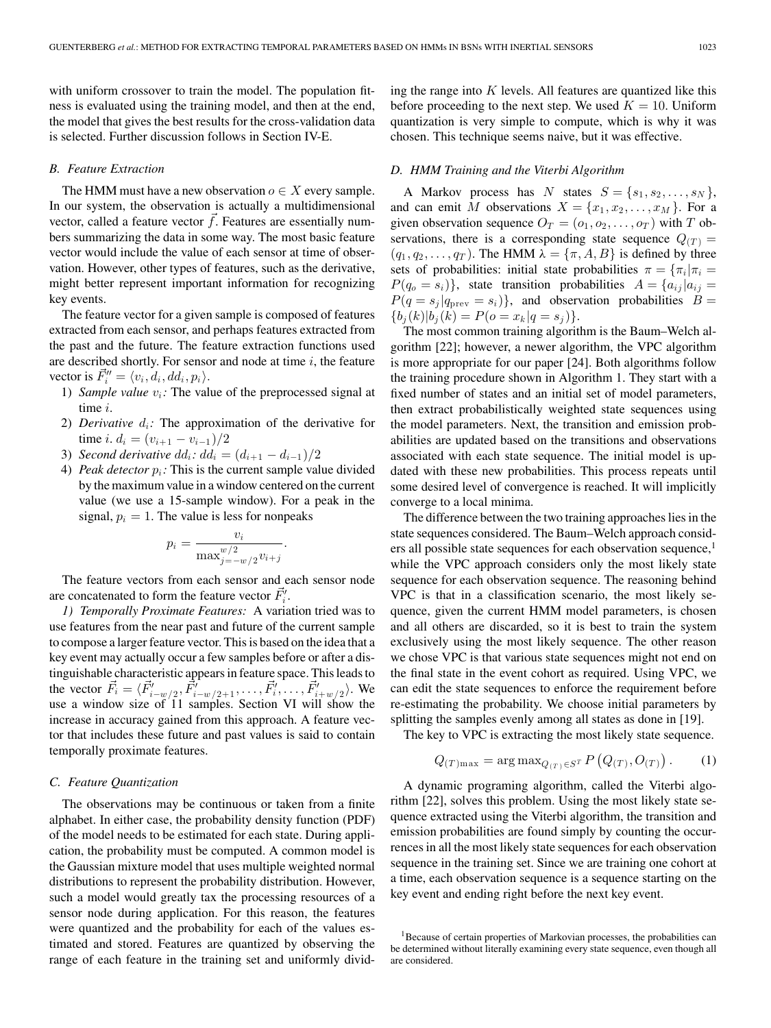with uniform crossover to train the model. The population fitness is evaluated using the training model, and then at the end, the model that gives the best results for the cross-validation data is selected. Further discussion follows in Section IV-E.

#### *B. Feature Extraction*

The HMM must have a new observation  $o \in X$  every sample. In our system, the observation is actually a multidimensional vector, called a feature vector  $f$ . Features are essentially numbers summarizing the data in some way. The most basic feature vector would include the value of each sensor at time of observation. However, other types of features, such as the derivative, might better represent important information for recognizing key events.

The feature vector for a given sample is composed of features extracted from each sensor, and perhaps features extracted from the past and the future. The feature extraction functions used are described shortly. For sensor and node at time  $i$ , the feature vector is  $\vec{F}''_i = \langle v_i, d_i, dd_i, p_i \rangle$ .

- 1) *Sample value*  $v_i$ : The value of the preprocessed signal at time i.
- 2) *Derivative*  $d_i$ : The approximation of the derivative for time *i*.  $d_i = (v_{i+1} - v_{i-1})/2$
- 3) *Second derivative*  $dd_i: dd_i = (d_{i+1} d_{i-1})/2$
- 4) *Peak detector*  $p_i$ : This is the current sample value divided by the maximum value in a window centered on the current value (we use a 15-sample window). For a peak in the signal,  $p_i = 1$ . The value is less for nonpeaks

$$
p_i = \frac{v_i}{\max_{j = -w/2}^{w/2} v_{i+j}}
$$

.

The feature vectors from each sensor and each sensor node are concatenated to form the feature vector  $\vec{F}'_i$ .

*1) Temporally Proximate Features:* A variation tried was to use features from the near past and future of the current sample to compose a larger feature vector. This is based on the idea that a key event may actually occur a few samples before or after a distinguishable characteristic appears in feature space. This leads to the vector  $\vec{F}_i = \langle \vec{F}'_{i-w/2}, \vec{F}'_{i-w/2+1}, \dots, \vec{F}'_i, \dots, \vec{F}'_{i+w/2} \rangle$ . We use a window size of 11 samples. Section VI will show the increase in accuracy gained from this approach. A feature vector that includes these future and past values is said to contain temporally proximate features.

#### *C. Feature Quantization*

The observations may be continuous or taken from a finite alphabet. In either case, the probability density function (PDF) of the model needs to be estimated for each state. During application, the probability must be computed. A common model is the Gaussian mixture model that uses multiple weighted normal distributions to represent the probability distribution. However, such a model would greatly tax the processing resources of a sensor node during application. For this reason, the features were quantized and the probability for each of the values estimated and stored. Features are quantized by observing the range of each feature in the training set and uniformly dividing the range into  $K$  levels. All features are quantized like this before proceeding to the next step. We used  $K = 10$ . Uniform quantization is very simple to compute, which is why it was chosen. This technique seems naive, but it was effective.

#### *D. HMM Training and the Viterbi Algorithm*

A Markov process has N states  $S = \{s_1, s_2, \ldots, s_N\},\$ and can emit M observations  $X = \{x_1, x_2, \ldots, x_M\}$ . For a given observation sequence  $O_T = (o_1, o_2, \dots, o_T)$  with T observations, there is a corresponding state sequence  $Q(T)$  =  $(q_1, q_2, \ldots, q_T)$ . The HMM  $\lambda = {\pi, A, B}$  is defined by three sets of probabilities: initial state probabilities  $\pi = {\pi_i | \pi_i =$  $P(q_o = s_i)$ , state transition probabilities  $A = \{a_{ij} | a_{ij} =$  $P(q = s_j | q_{prev} = s_i)$ , and observation probabilities  $B =$  ${b_j(k)|b_j(k) = P(o = x_k|q = s_j)}.$ 

The most common training algorithm is the Baum–Welch algorithm [22]; however, a newer algorithm, the VPC algorithm is more appropriate for our paper [24]. Both algorithms follow the training procedure shown in Algorithm 1. They start with a fixed number of states and an initial set of model parameters, then extract probabilistically weighted state sequences using the model parameters. Next, the transition and emission probabilities are updated based on the transitions and observations associated with each state sequence. The initial model is updated with these new probabilities. This process repeats until some desired level of convergence is reached. It will implicitly converge to a local minima.

The difference between the two training approaches lies in the state sequences considered. The Baum–Welch approach considers all possible state sequences for each observation sequence,<sup>1</sup> while the VPC approach considers only the most likely state sequence for each observation sequence. The reasoning behind VPC is that in a classification scenario, the most likely sequence, given the current HMM model parameters, is chosen and all others are discarded, so it is best to train the system exclusively using the most likely sequence. The other reason we chose VPC is that various state sequences might not end on the final state in the event cohort as required. Using VPC, we can edit the state sequences to enforce the requirement before re-estimating the probability. We choose initial parameters by splitting the samples evenly among all states as done in [19].

The key to VPC is extracting the most likely state sequence.

$$
Q_{(T)\max} = \arg \max_{Q_{(T)} \in S^T} P\left(Q_{(T)}, O_{(T)}\right). \tag{1}
$$

A dynamic programing algorithm, called the Viterbi algorithm [22], solves this problem. Using the most likely state sequence extracted using the Viterbi algorithm, the transition and emission probabilities are found simply by counting the occurrences in all the most likely state sequences for each observation sequence in the training set. Since we are training one cohort at a time, each observation sequence is a sequence starting on the key event and ending right before the next key event.

<sup>&</sup>lt;sup>1</sup>Because of certain properties of Markovian processes, the probabilities can be determined without literally examining every state sequence, even though all are considered.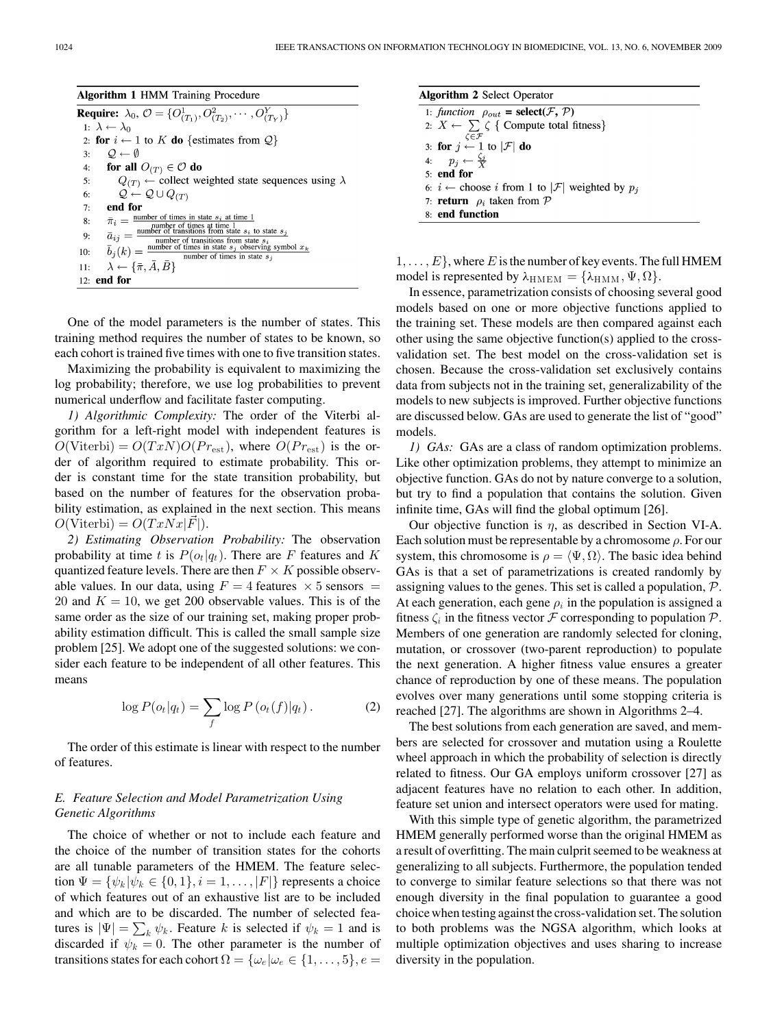| <b>Algorithm 1 HMM Training Procedure</b>                                                                                                                                                                                                                |
|----------------------------------------------------------------------------------------------------------------------------------------------------------------------------------------------------------------------------------------------------------|
| <b>Require:</b> $\lambda_0$ , $\mathcal{O} = \{O_{(T_1)}^1, O_{(T_2)}^2, \cdots, O_{(T_{\nu})}^Y\}$                                                                                                                                                      |
| 1: $\lambda \leftarrow \lambda_0$                                                                                                                                                                                                                        |
| 2: for $i \leftarrow 1$ to K do {estimates from $\mathcal{Q}$ }                                                                                                                                                                                          |
| $O \leftarrow \emptyset$<br>3:                                                                                                                                                                                                                           |
| for all $O_{(T)} \in \mathcal{O}$ do<br>4:                                                                                                                                                                                                               |
| $Q(T)$ – collect weighted state sequences using $\lambda$<br>5:                                                                                                                                                                                          |
| $\mathcal{Q} \leftarrow \mathcal{Q} \cup Q_{(T)}$<br>6:                                                                                                                                                                                                  |
| end for<br>7:                                                                                                                                                                                                                                            |
| $\bar{\pi}_i = \frac{\text{number of times in state } s_i \text{ at time } 1}{\text{number of times at time } 1}$<br>$\bar{a}_{ij} = \frac{\text{number of times at time } 1}{\text{number of transitions from state } s_i \text{ to state } s_j}$<br>8: |
| 9:                                                                                                                                                                                                                                                       |
| $\overline{b}_j(k) = \frac{\text{number of transitions from state } s_i \text{ to state } s_i}{\overline{b}_j(k)}$<br>10:                                                                                                                                |
| number of times in state $s_i$                                                                                                                                                                                                                           |
| $\lambda \leftarrow {\{\bar{\pi}, \bar{A}, \bar{B}\}}$<br>11:                                                                                                                                                                                            |
| 12: end for                                                                                                                                                                                                                                              |

One of the model parameters is the number of states. This training method requires the number of states to be known, so each cohort is trained five times with one to five transition states.

Maximizing the probability is equivalent to maximizing the log probability; therefore, we use log probabilities to prevent numerical underflow and facilitate faster computing.

*1) Algorithmic Complexity:* The order of the Viterbi algorithm for a left-right model with independent features is  $O(Viterbi) = O(TxN)O(Pr_{est})$ , where  $O(Pr_{est})$  is the order of algorithm required to estimate probability. This order is constant time for the state transition probability, but based on the number of features for the observation probability estimation, as explained in the next section. This means  $O(Viterbi) = O(TxNx|F|).$ 

*2) Estimating Observation Probability:* The observation probability at time t is  $P(o_t|q_t)$ . There are F features and K quantized feature levels. There are then  $F \times K$  possible observable values. In our data, using  $F = 4$  features  $\times 5$  sensors = 20 and  $K = 10$ , we get 200 observable values. This is of the same order as the size of our training set, making proper probability estimation difficult. This is called the small sample size problem [25]. We adopt one of the suggested solutions: we consider each feature to be independent of all other features. This means

$$
\log P(o_t|q_t) = \sum_f \log P(o_t(f)|q_t).
$$
 (2)

The order of this estimate is linear with respect to the number of features.

# *E. Feature Selection and Model Parametrization Using Genetic Algorithms*

The choice of whether or not to include each feature and the choice of the number of transition states for the cohorts are all tunable parameters of the HMEM. The feature selection  $\Psi = {\psi_k | \psi_k \in \{0, 1\}, i = 1, \ldots, |F|}$  represents a choice of which features out of an exhaustive list are to be included and which are to be discarded. The number of selected features is  $|\Psi| = \sum_{k} \psi_k$ . Feature k is selected if  $\psi_k = 1$  and is discarded if  $\psi_k = 0$ . The other parameter is the number of transitions states for each cohort  $\Omega = {\omega_e | \omega_e \in \{1, \dots, 5\}, e}$ 

| <b>Algorithm 2 Select Operator</b>                                     |
|------------------------------------------------------------------------|
| 1: function $\rho_{out}$ = select( <i>F</i> , <i>P</i> )               |
| 2: $X \leftarrow \sum \zeta$ { Compute total fitness}                  |
| $\zeta \in \mathcal{F}$                                                |
| 3: for $j \leftarrow 1$ to $ \mathcal{F} $ do                          |
| 4: $p_i \leftarrow \frac{\zeta_i}{\overline{X}}$                       |
| $5:$ end for                                                           |
| 6: $i \leftarrow$ choose i from 1 to $ \mathcal{F} $ weighted by $p_i$ |
| 7: <b>return</b> $\rho_i$ taken from $\mathcal{P}$                     |
| 8. end function                                                        |

 $1,\ldots,E$ , where E is the number of key events. The full HMEM model is represented by  $\lambda_{\text{HMEM}} = {\lambda_{\text{HMM}}}, \Psi, \Omega$ .

In essence, parametrization consists of choosing several good models based on one or more objective functions applied to the training set. These models are then compared against each other using the same objective function(s) applied to the crossvalidation set. The best model on the cross-validation set is chosen. Because the cross-validation set exclusively contains data from subjects not in the training set, generalizability of the models to new subjects is improved. Further objective functions are discussed below. GAs are used to generate the list of "good" models.

*1) GAs:* GAs are a class of random optimization problems. Like other optimization problems, they attempt to minimize an objective function. GAs do not by nature converge to a solution, but try to find a population that contains the solution. Given infinite time, GAs will find the global optimum [26].

Our objective function is  $\eta$ , as described in Section VI-A. Each solution must be representable by a chromosome  $\rho$ . For our system, this chromosome is  $\rho = \langle \Psi, \Omega \rangle$ . The basic idea behind GAs is that a set of parametrizations is created randomly by assigning values to the genes. This set is called a population, P. At each generation, each gene  $\rho_i$  in the population is assigned a fitness  $\zeta_i$  in the fitness vector  $\mathcal F$  corresponding to population  $\mathcal P$ . Members of one generation are randomly selected for cloning, mutation, or crossover (two-parent reproduction) to populate the next generation. A higher fitness value ensures a greater chance of reproduction by one of these means. The population evolves over many generations until some stopping criteria is reached [27]. The algorithms are shown in Algorithms 2–4.

The best solutions from each generation are saved, and members are selected for crossover and mutation using a Roulette wheel approach in which the probability of selection is directly related to fitness. Our GA employs uniform crossover [27] as adjacent features have no relation to each other. In addition, feature set union and intersect operators were used for mating.

With this simple type of genetic algorithm, the parametrized HMEM generally performed worse than the original HMEM as a result of overfitting. The main culprit seemed to be weakness at generalizing to all subjects. Furthermore, the population tended to converge to similar feature selections so that there was not enough diversity in the final population to guarantee a good choice when testing against the cross-validation set. The solution to both problems was the NGSA algorithm, which looks at multiple optimization objectives and uses sharing to increase diversity in the population.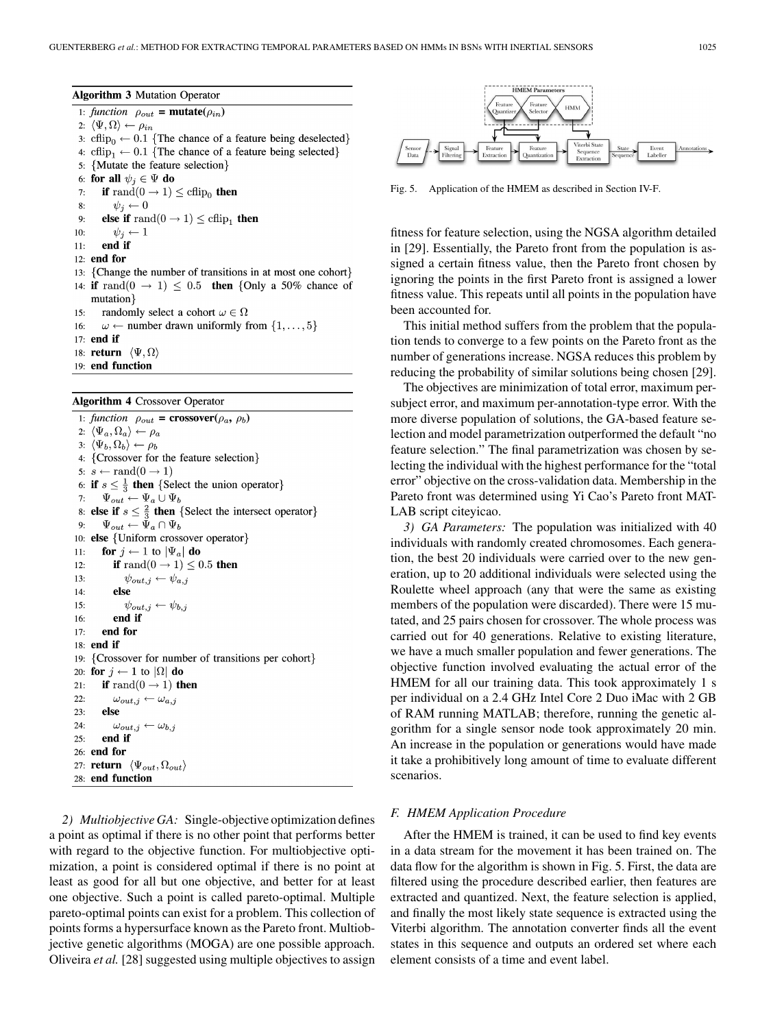

#### **Algorithm 4 Crossover Operator**

1: function  $\rho_{out} = \text{crossover}(\rho_a, \rho_b)$ 2:  $\langle \Psi_a, \Omega_a \rangle \leftarrow \rho_a$  $\langle \Psi_b, \Omega_b \rangle \leftarrow \rho_b$  $3:$ 4: {Crossover for the feature selection} 5:  $s \leftarrow \text{rand}(0 \rightarrow 1)$ 6: if  $s \leq \frac{1}{3}$  then {Select the union operator}  $\Psi_{out} \stackrel{\circ}{\leftarrow} \Psi_a \cup \Psi_b$  $7:$ 8: else if  $s \leq \frac{2}{3}$  then {Select the intersect operator}  $\Psi_{out} \leftarrow \Psi_a \cap \Psi_b$  $9:$ 10: else {Uniform crossover operator} for  $j \leftarrow 1$  to  $|\Psi_a|$  do  $11:$ if rand $(0 \rightarrow 1) \leq 0.5$  then  $12:$ 13:  $\psi_{out,j} \leftarrow \psi_{a,j}$  $14:$ else  $\psi_{out,j} \leftarrow \psi_{b,j}$  $15:$  $16:$ end if  $17:$ end for 18: end if {Crossover for number of transitions per cohort}  $19:$ 20: for  $j \leftarrow 1$  to  $|\Omega|$  do  $21:$ **if** rand( $0 \rightarrow 1$ ) **then**  $\omega_{out,j} \leftarrow \omega_{a,j}$  $22:$  $23:$ else  $24:$  $\omega_{out,j} \leftarrow \omega_{b,j}$ 25: end if 26: end for 27: **return**  $\langle \Psi_{out}, \Omega_{out} \rangle$ 28: end function

*2) Multiobjective GA:* Single-objective optimization defines a point as optimal if there is no other point that performs better with regard to the objective function. For multiobjective optimization, a point is considered optimal if there is no point at least as good for all but one objective, and better for at least one objective. Such a point is called pareto-optimal. Multiple pareto-optimal points can exist for a problem. This collection of points forms a hypersurface known as the Pareto front. Multiobjective genetic algorithms (MOGA) are one possible approach. Oliveira *et al.* [28] suggested using multiple objectives to assign



Fig. 5. Application of the HMEM as described in Section IV-F.

fitness for feature selection, using the NGSA algorithm detailed in [29]. Essentially, the Pareto front from the population is assigned a certain fitness value, then the Pareto front chosen by ignoring the points in the first Pareto front is assigned a lower fitness value. This repeats until all points in the population have been accounted for.

This initial method suffers from the problem that the population tends to converge to a few points on the Pareto front as the number of generations increase. NGSA reduces this problem by reducing the probability of similar solutions being chosen [29].

The objectives are minimization of total error, maximum persubject error, and maximum per-annotation-type error. With the more diverse population of solutions, the GA-based feature selection and model parametrization outperformed the default "no feature selection." The final parametrization was chosen by selecting the individual with the highest performance for the "total error" objective on the cross-validation data. Membership in the Pareto front was determined using Yi Cao's Pareto front MAT-LAB script citeyicao.

*3) GA Parameters:* The population was initialized with 40 individuals with randomly created chromosomes. Each generation, the best 20 individuals were carried over to the new generation, up to 20 additional individuals were selected using the Roulette wheel approach (any that were the same as existing members of the population were discarded). There were 15 mutated, and 25 pairs chosen for crossover. The whole process was carried out for 40 generations. Relative to existing literature, we have a much smaller population and fewer generations. The objective function involved evaluating the actual error of the HMEM for all our training data. This took approximately 1 s per individual on a 2.4 GHz Intel Core 2 Duo iMac with 2 GB of RAM running MATLAB; therefore, running the genetic algorithm for a single sensor node took approximately 20 min. An increase in the population or generations would have made it take a prohibitively long amount of time to evaluate different scenarios.

## *F. HMEM Application Procedure*

After the HMEM is trained, it can be used to find key events in a data stream for the movement it has been trained on. The data flow for the algorithm is shown in Fig. 5. First, the data are filtered using the procedure described earlier, then features are extracted and quantized. Next, the feature selection is applied, and finally the most likely state sequence is extracted using the Viterbi algorithm. The annotation converter finds all the event states in this sequence and outputs an ordered set where each element consists of a time and event label.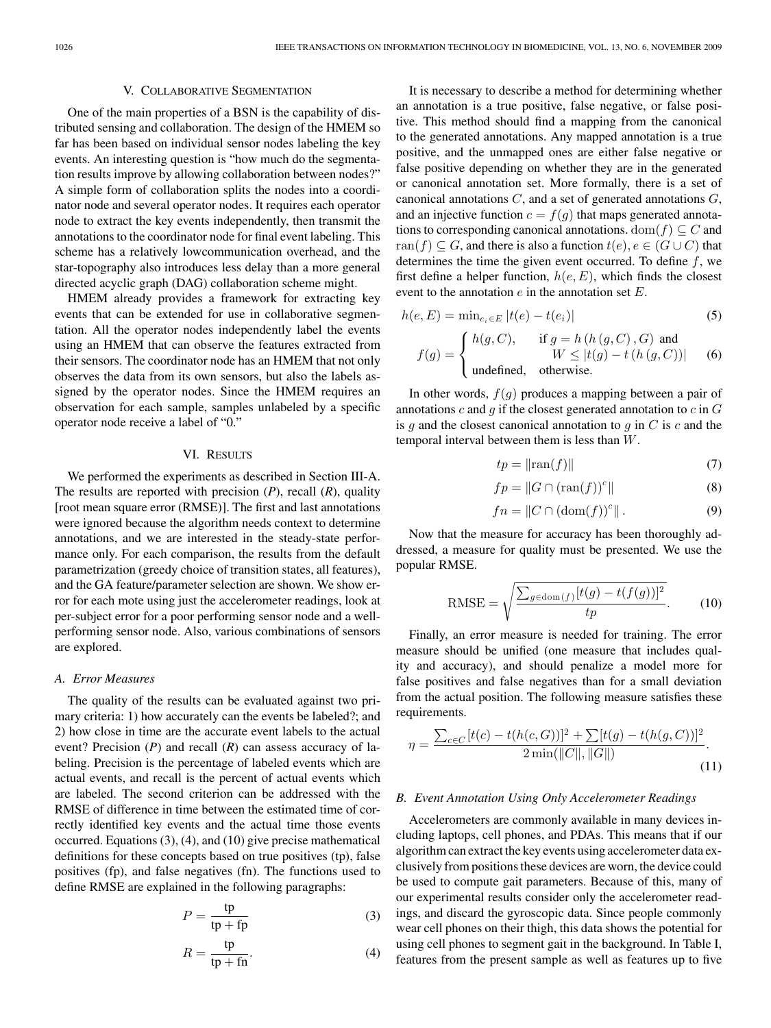#### V. COLLABORATIVE SEGMENTATION

One of the main properties of a BSN is the capability of distributed sensing and collaboration. The design of the HMEM so far has been based on individual sensor nodes labeling the key events. An interesting question is "how much do the segmentation results improve by allowing collaboration between nodes?" A simple form of collaboration splits the nodes into a coordinator node and several operator nodes. It requires each operator node to extract the key events independently, then transmit the annotations to the coordinator node for final event labeling. This scheme has a relatively lowcommunication overhead, and the star-topography also introduces less delay than a more general directed acyclic graph (DAG) collaboration scheme might.

HMEM already provides a framework for extracting key events that can be extended for use in collaborative segmentation. All the operator nodes independently label the events using an HMEM that can observe the features extracted from their sensors. The coordinator node has an HMEM that not only observes the data from its own sensors, but also the labels assigned by the operator nodes. Since the HMEM requires an observation for each sample, samples unlabeled by a specific operator node receive a label of "0."

## VI. RESULTS

We performed the experiments as described in Section III-A. The results are reported with precision (*P*), recall (*R*), quality [root mean square error (RMSE)]. The first and last annotations were ignored because the algorithm needs context to determine annotations, and we are interested in the steady-state performance only. For each comparison, the results from the default parametrization (greedy choice of transition states, all features), and the GA feature/parameter selection are shown. We show error for each mote using just the accelerometer readings, look at per-subject error for a poor performing sensor node and a wellperforming sensor node. Also, various combinations of sensors are explored.

# *A. Error Measures*

The quality of the results can be evaluated against two primary criteria: 1) how accurately can the events be labeled?; and 2) how close in time are the accurate event labels to the actual event? Precision (*P*) and recall (*R*) can assess accuracy of labeling. Precision is the percentage of labeled events which are actual events, and recall is the percent of actual events which are labeled. The second criterion can be addressed with the RMSE of difference in time between the estimated time of correctly identified key events and the actual time those events occurred. Equations (3), (4), and (10) give precise mathematical definitions for these concepts based on true positives (tp), false positives (fp), and false negatives (fn). The functions used to define RMSE are explained in the following paragraphs:

$$
P = \frac{\text{tp}}{\text{tp} + \text{fp}}\tag{3}
$$

$$
R = \frac{\text{tp}}{\text{tp} + \text{fn}}.\tag{4}
$$

It is necessary to describe a method for determining whether an annotation is a true positive, false negative, or false positive. This method should find a mapping from the canonical to the generated annotations. Any mapped annotation is a true positive, and the unmapped ones are either false negative or false positive depending on whether they are in the generated or canonical annotation set. More formally, there is a set of canonical annotations  $C$ , and a set of generated annotations  $G$ , and an injective function  $c = f(g)$  that maps generated annotations to corresponding canonical annotations.  $dom(f) \subseteq C$  and ran(f)  $\subseteq G$ , and there is also a function  $t(e)$ ,  $e \in (G \cup C)$  that determines the time the given event occurred. To define  $f$ , we first define a helper function,  $h(e, E)$ , which finds the closest event to the annotation  $e$  in the annotation set  $E$ .

$$
h(e, E) = \min_{e_i \in E} |t(e) - t(e_i)|
$$
\n(5)

$$
f(g) = \begin{cases} h(g, C), & \text{if } g = h(h(g, C), G) \text{ and} \\ W \leq |t(g) - t(h(g, C))| \\ \text{undefined}, & \text{otherwise.} \end{cases}
$$
 (6)

In other words,  $f(g)$  produces a mapping between a pair of annotations  $c$  and  $g$  if the closest generated annotation to  $c$  in  $G$ is g and the closest canonical annotation to g in C is c and the temporal interval between them is less than W.

$$
tp = \|\text{ran}(f)\|\tag{7}
$$

$$
fp = \|G \cap (\operatorname{ran}(f))^c\|
$$
 (8)

$$
fn = \|C \cap (\text{dom}(f))^c\|.
$$
 (9)

Now that the measure for accuracy has been thoroughly addressed, a measure for quality must be presented. We use the popular RMSE.

$$
\text{RMSE} = \sqrt{\frac{\sum_{g \in \text{dom}(f)} [t(g) - t(f(g))]^2}{tp}}.
$$
 (10)

Finally, an error measure is needed for training. The error measure should be unified (one measure that includes quality and accuracy), and should penalize a model more for false positives and false negatives than for a small deviation from the actual position. The following measure satisfies these requirements.

$$
\eta = \frac{\sum_{c \in C} [t(c) - t(h(c, G))]^{2} + \sum [t(g) - t(h(g, C))]^{2}}{2 \min(\|C\|, \|G\|)}.
$$
\n(11)

## *B. Event Annotation Using Only Accelerometer Readings*

Accelerometers are commonly available in many devices including laptops, cell phones, and PDAs. This means that if our algorithm can extract the key events using accelerometer data exclusively from positions these devices are worn, the device could be used to compute gait parameters. Because of this, many of our experimental results consider only the accelerometer readings, and discard the gyroscopic data. Since people commonly wear cell phones on their thigh, this data shows the potential for using cell phones to segment gait in the background. In Table I, features from the present sample as well as features up to five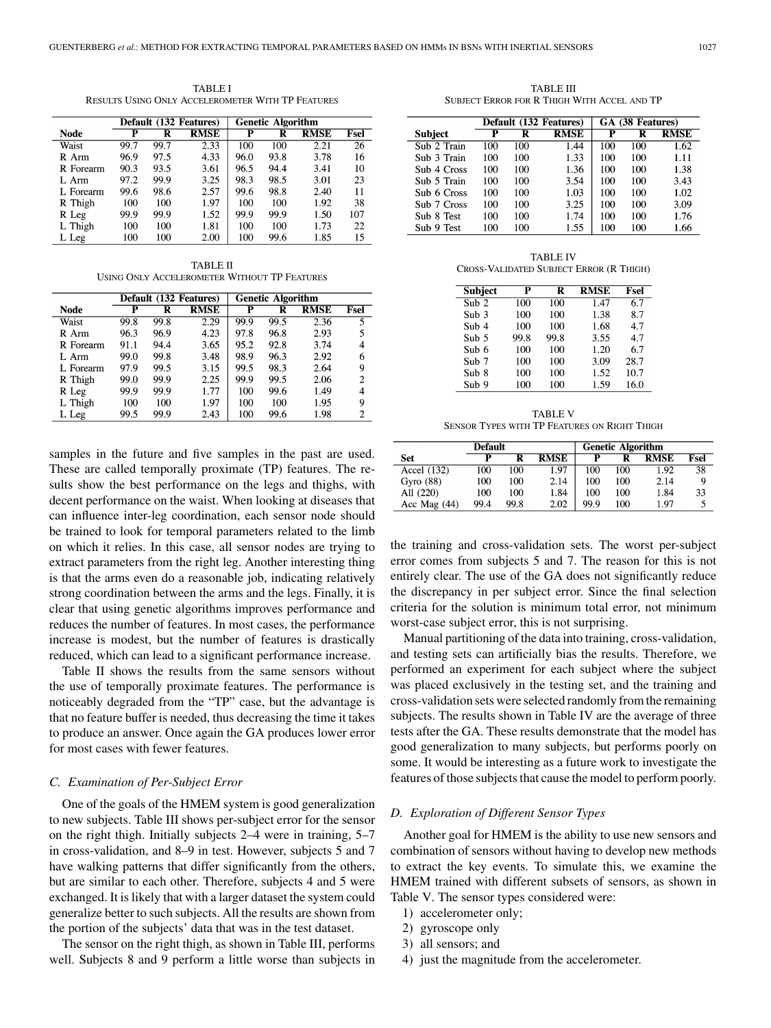TABLE I RESULTS USING ONLY ACCELEROMETER WITH TP FEATURES

|           | Default (132 Features) |      |             | <b>Genetic Algorithm</b> |      |             |      |
|-----------|------------------------|------|-------------|--------------------------|------|-------------|------|
| Node      | Р                      | R    | <b>RMSE</b> | P                        | R    | <b>RMSE</b> | Fsel |
| Waist     | 99.7                   | 99.7 | 2.33        | 100                      | 100  | 2.21        | 26   |
| R Arm     | 96.9                   | 97.5 | 4.33        | 96.0                     | 93.8 | 3.78        | 16   |
| R Forearm | 90.3                   | 93.5 | 3.61        | 96.5                     | 94.4 | 3.41        | 10   |
| L Arm     | 97.2                   | 99.9 | 3.25        | 98.3                     | 98.5 | 3.01        | 23   |
| L Forearm | 99.6                   | 98.6 | 2.57        | 99.6                     | 98.8 | 2.40        | 11   |
| R Thigh   | 100                    | 100  | 1.97        | 100                      | 100  | 1.92        | 38   |
| R Leg     | 99.9                   | 99.9 | 1.52        | 99.9                     | 99.9 | 1.50        | 107  |
| L Thigh   | 100                    | 100  | 1.81        | 100                      | 100  | 1.73        | 22   |
| L Leg     | 100                    | 100  | 2.00        | 100                      | 99.6 | 1.85        | 15   |

TABLE II USING ONLY ACCELEROMETER WITHOUT TP FEATURES

|           |      |      | Default (132 Features) | <b>Genetic Algorithm</b> |      |             |               |
|-----------|------|------|------------------------|--------------------------|------|-------------|---------------|
| Node      | P    | R    | <b>RMSE</b>            | р                        | R    | <b>RMSE</b> | Fsel          |
| Waist     | 99.8 | 99.8 | 2.29                   | 99.9                     | 99.5 | 2.36        | 5             |
| R Arm     | 96.3 | 96.9 | 4.23                   | 97.8                     | 96.8 | 2.93        | 5             |
| R Forearm | 91.1 | 94.4 | 3.65                   | 95.2                     | 92.8 | 3.74        | 4             |
| L Arm     | 99.0 | 99.8 | 3.48                   | 98.9                     | 96.3 | 2.92        | 6             |
| L Forearm | 97.9 | 99.5 | 3.15                   | 99.5                     | 98.3 | 2.64        | 9             |
| R Thigh   | 99.0 | 99.9 | 2.25                   | 99.9                     | 99.5 | 2.06        | 2             |
| R Leg     | 99.9 | 99.9 | 1.77                   | 100                      | 99.6 | 1.49        | 4             |
| L Thigh   | 100  | 100  | 1.97                   | 100                      | 100  | 1.95        | Q             |
| L Leg     | 99.5 | 99.9 | 2.43                   | 100                      | 99.6 | 1.98        | $\mathcal{L}$ |

samples in the future and five samples in the past are used. These are called temporally proximate (TP) features. The results show the best performance on the legs and thighs, with decent performance on the waist. When looking at diseases that can influence inter-leg coordination, each sensor node should be trained to look for temporal parameters related to the limb on which it relies. In this case, all sensor nodes are trying to extract parameters from the right leg. Another interesting thing is that the arms even do a reasonable job, indicating relatively strong coordination between the arms and the legs. Finally, it is clear that using genetic algorithms improves performance and reduces the number of features. In most cases, the performance increase is modest, but the number of features is drastically reduced, which can lead to a significant performance increase.

Table II shows the results from the same sensors without the use of temporally proximate features. The performance is noticeably degraded from the "TP" case, but the advantage is that no feature buffer is needed, thus decreasing the time it takes to produce an answer. Once again the GA produces lower error for most cases with fewer features.

# *C. Examination of Per-Subject Error*

One of the goals of the HMEM system is good generalization to new subjects. Table III shows per-subject error for the sensor on the right thigh. Initially subjects 2–4 were in training, 5–7 in cross-validation, and 8–9 in test. However, subjects 5 and 7 have walking patterns that differ significantly from the others, but are similar to each other. Therefore, subjects 4 and 5 were exchanged. It is likely that with a larger dataset the system could generalize better to such subjects. All the results are shown from the portion of the subjects' data that was in the test dataset.

The sensor on the right thigh, as shown in Table III, performs well. Subjects 8 and 9 perform a little worse than subjects in

TABLE III SUBJECT ERROR FOR R THIGH WITH ACCEL AND TP

|                | Default (132 Features) |     |             | GA (38 Features) |     |             |  |
|----------------|------------------------|-----|-------------|------------------|-----|-------------|--|
| <b>Subject</b> | Р                      | R   | <b>RMSE</b> | Р                | R   | <b>RMSE</b> |  |
| Sub 2 Train    | 100                    | 100 | 1.44        | 100              | 100 | 1.62        |  |
| Sub 3 Train    | 100                    | 100 | 1.33        | 100              | 100 | 1.11        |  |
| Sub 4 Cross    | 100                    | 100 | 1.36        | 100              | 100 | 1.38        |  |
| Sub 5 Train    | 100                    | 100 | 3.54        | 100              | 100 | 3.43        |  |
| Sub 6 Cross    | 100                    | 100 | 1.03        | 100              | 100 | 1.02        |  |
| Sub 7 Cross    | 100                    | 100 | 3.25        | 100              | 100 | 3.09        |  |
| Sub 8 Test     | 100                    | 100 | 1.74        | 100              | 100 | 1.76        |  |
| Sub 9 Test     | 100                    | 100 | 1.55        | 100              | 100 | 1.66        |  |

TABLE IV CROSS-VALIDATED SUBJECT ERROR (R THIGH)

| <b>Subject</b>            | Р    | R    | <b>RMSE</b> | Fsel |
|---------------------------|------|------|-------------|------|
| $\overline{\text{Sub }2}$ | 100  | 100  | 1.47        | 6.7  |
| $S$ ub $3$                | 100  | 100  | 1.38        | 8.7  |
| Sub 4                     | 100  | 100  | 1.68        | 4.7  |
| Sub 5                     | 99.8 | 99.8 | 3.55        | 4.7  |
| Sub 6                     | 100  | 100  | 1.20        | 6.7  |
| Sub 7                     | 100  | 100  | 3.09        | 28.7 |
| Sub 8                     | 100  | 100  | 1.52        | 10.7 |
| Sub 9                     | 100  | 100  | 1.59        | 16.0 |

TABLE V SENSOR TYPES WITH TP FEATURES ON RIGHT THIGH

| <b>Default</b> |      |      |      |      | <b>Genetic Algorithm</b> |      |      |
|----------------|------|------|------|------|--------------------------|------|------|
| Set            |      |      | RMSE |      |                          | RMSE | Fsel |
| Accel (132)    | 100  | 100  | 1.97 | 100  | 100                      | 1.92 | 38   |
| Gyro $(88)$    | 100  | 100  | 2.14 | 100  | 100                      | 2.14 | q    |
| All (220)      | 100  | 100  | 1.84 | 100  | 100                      | 1.84 | 33   |
| Acc Mag $(44)$ | 99.4 | 99.8 | 2.02 | 99.9 | 100                      | 1.97 |      |

the training and cross-validation sets. The worst per-subject error comes from subjects 5 and 7. The reason for this is not entirely clear. The use of the GA does not significantly reduce the discrepancy in per subject error. Since the final selection criteria for the solution is minimum total error, not minimum worst-case subject error, this is not surprising.

Manual partitioning of the data into training, cross-validation, and testing sets can artificially bias the results. Therefore, we performed an experiment for each subject where the subject was placed exclusively in the testing set, and the training and cross-validation sets were selected randomly from the remaining subjects. The results shown in Table IV are the average of three tests after the GA. These results demonstrate that the model has good generalization to many subjects, but performs poorly on some. It would be interesting as a future work to investigate the features of those subjects that cause the model to perform poorly.

# *D. Exploration of Different Sensor Types*

Another goal for HMEM is the ability to use new sensors and combination of sensors without having to develop new methods to extract the key events. To simulate this, we examine the HMEM trained with different subsets of sensors, as shown in Table V. The sensor types considered were:

- 1) accelerometer only;
- 2) gyroscope only
- 3) all sensors; and
- 4) just the magnitude from the accelerometer.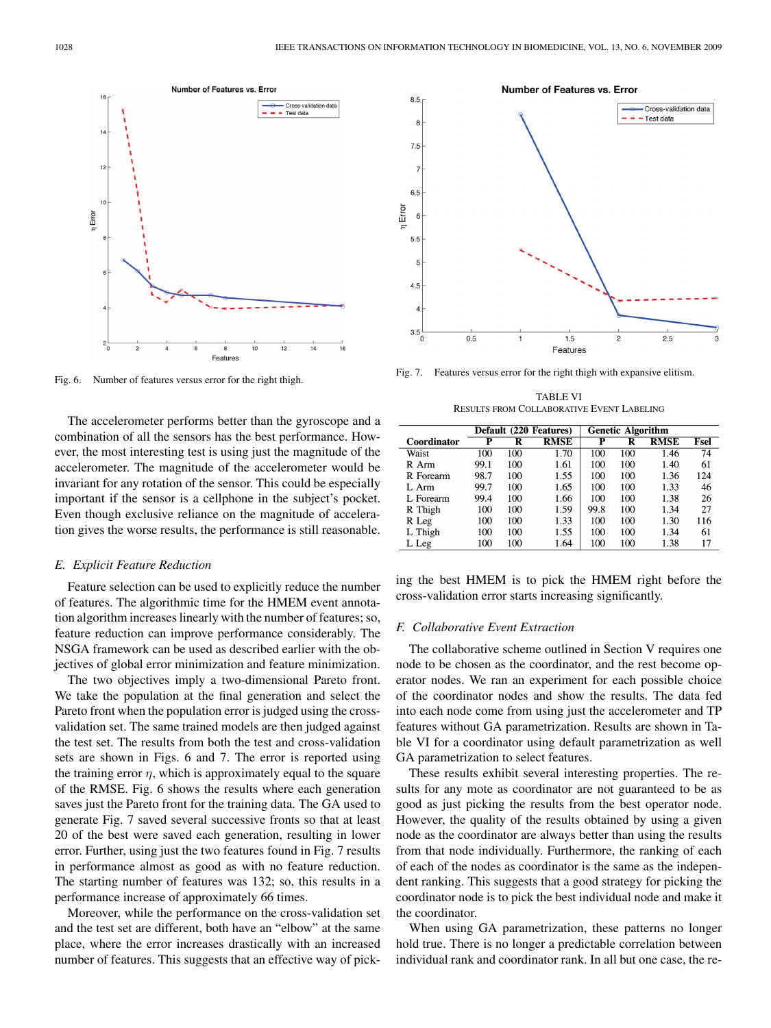

Fig. 6. Number of features versus error for the right thigh.

The accelerometer performs better than the gyroscope and a combination of all the sensors has the best performance. However, the most interesting test is using just the magnitude of the accelerometer. The magnitude of the accelerometer would be invariant for any rotation of the sensor. This could be especially important if the sensor is a cellphone in the subject's pocket. Even though exclusive reliance on the magnitude of acceleration gives the worse results, the performance is still reasonable.

#### *E. Explicit Feature Reduction*

Feature selection can be used to explicitly reduce the number of features. The algorithmic time for the HMEM event annotation algorithm increases linearly with the number of features; so, feature reduction can improve performance considerably. The NSGA framework can be used as described earlier with the objectives of global error minimization and feature minimization.

The two objectives imply a two-dimensional Pareto front. We take the population at the final generation and select the Pareto front when the population error is judged using the crossvalidation set. The same trained models are then judged against the test set. The results from both the test and cross-validation sets are shown in Figs. 6 and 7. The error is reported using the training error  $\eta$ , which is approximately equal to the square of the RMSE. Fig. 6 shows the results where each generation saves just the Pareto front for the training data. The GA used to generate Fig. 7 saved several successive fronts so that at least 20 of the best were saved each generation, resulting in lower error. Further, using just the two features found in Fig. 7 results in performance almost as good as with no feature reduction. The starting number of features was 132; so, this results in a performance increase of approximately 66 times.

Moreover, while the performance on the cross-validation set and the test set are different, both have an "elbow" at the same place, where the error increases drastically with an increased number of features. This suggests that an effective way of pick-



Fig. 7. Features versus error for the right thigh with expansive elitism.

TABLE VI RESULTS FROM COLLABORATIVE EVENT LABELING

|             |      |     | Default (220 Features) | <b>Genetic Algorithm</b> |     |             |      |
|-------------|------|-----|------------------------|--------------------------|-----|-------------|------|
| Coordinator | Р    | R   | <b>RMSE</b>            | P                        | R   | <b>RMSE</b> | Fsel |
| Waist       | 100  | 100 | 1.70                   | 100                      | 100 | 1.46        | 74   |
| R Arm       | 99.1 | 100 | 1.61                   | 100                      | 100 | 1.40        | 61   |
| R Forearm   | 98.7 | 100 | 1.55                   | 100                      | 100 | 1.36        | 124  |
| L Arm       | 99.7 | 100 | 1.65                   | 100                      | 100 | 1.33        | 46   |
| L Forearm   | 99.4 | 100 | 1.66                   | 100                      | 100 | 1.38        | 26   |
| R Thigh     | 100  | 100 | 1.59                   | 99.8                     | 100 | 1.34        | 27   |
| R Leg       | 100  | 100 | 1.33                   | 100                      | 100 | 1.30        | 116  |
| L Thigh     | 100  | 100 | 1.55                   | 100                      | 100 | 1.34        | 61   |
| L Leg       | 100  | 100 | 1.64                   | 100                      | 100 | 1.38        | 17   |

ing the best HMEM is to pick the HMEM right before the cross-validation error starts increasing significantly.

# *F. Collaborative Event Extraction*

The collaborative scheme outlined in Section V requires one node to be chosen as the coordinator, and the rest become operator nodes. We ran an experiment for each possible choice of the coordinator nodes and show the results. The data fed into each node come from using just the accelerometer and TP features without GA parametrization. Results are shown in Table VI for a coordinator using default parametrization as well GA parametrization to select features.

These results exhibit several interesting properties. The results for any mote as coordinator are not guaranteed to be as good as just picking the results from the best operator node. However, the quality of the results obtained by using a given node as the coordinator are always better than using the results from that node individually. Furthermore, the ranking of each of each of the nodes as coordinator is the same as the independent ranking. This suggests that a good strategy for picking the coordinator node is to pick the best individual node and make it the coordinator.

When using GA parametrization, these patterns no longer hold true. There is no longer a predictable correlation between individual rank and coordinator rank. In all but one case, the re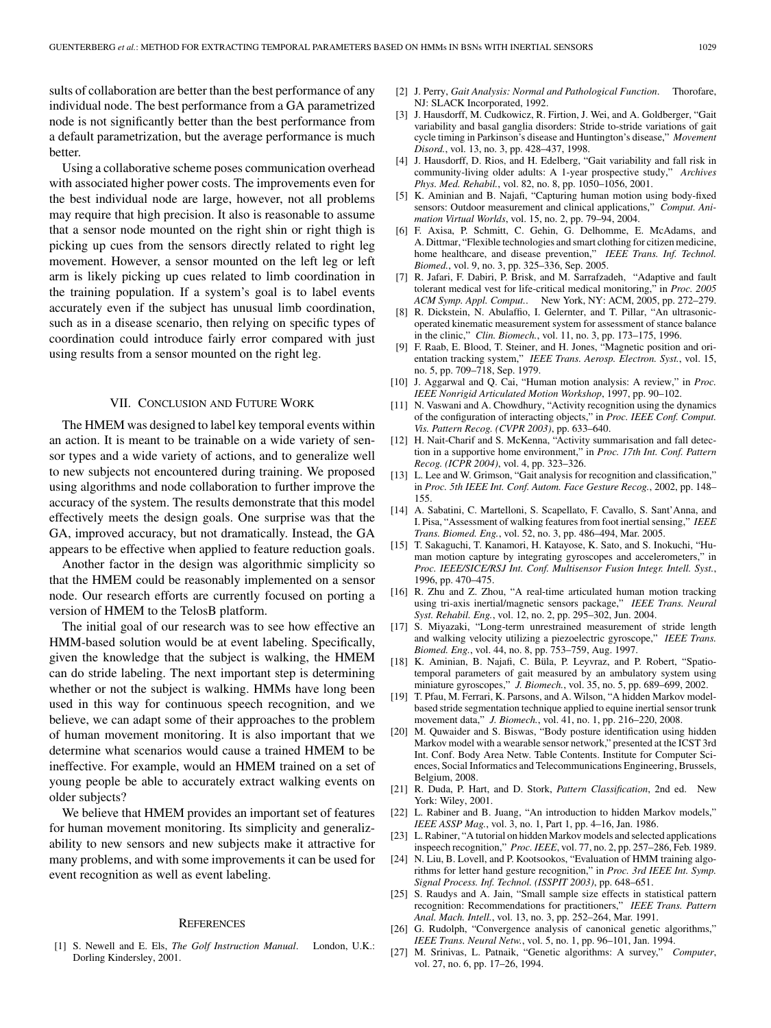sults of collaboration are better than the best performance of any individual node. The best performance from a GA parametrized node is not significantly better than the best performance from a default parametrization, but the average performance is much better.

Using a collaborative scheme poses communication overhead with associated higher power costs. The improvements even for the best individual node are large, however, not all problems may require that high precision. It also is reasonable to assume that a sensor node mounted on the right shin or right thigh is picking up cues from the sensors directly related to right leg movement. However, a sensor mounted on the left leg or left arm is likely picking up cues related to limb coordination in the training population. If a system's goal is to label events accurately even if the subject has unusual limb coordination, such as in a disease scenario, then relying on specific types of coordination could introduce fairly error compared with just using results from a sensor mounted on the right leg.

#### VII. CONCLUSION AND FUTURE WORK

The HMEM was designed to label key temporal events within an action. It is meant to be trainable on a wide variety of sensor types and a wide variety of actions, and to generalize well to new subjects not encountered during training. We proposed using algorithms and node collaboration to further improve the accuracy of the system. The results demonstrate that this model effectively meets the design goals. One surprise was that the GA, improved accuracy, but not dramatically. Instead, the GA appears to be effective when applied to feature reduction goals.

Another factor in the design was algorithmic simplicity so that the HMEM could be reasonably implemented on a sensor node. Our research efforts are currently focused on porting a version of HMEM to the TelosB platform.

The initial goal of our research was to see how effective an HMM-based solution would be at event labeling. Specifically, given the knowledge that the subject is walking, the HMEM can do stride labeling. The next important step is determining whether or not the subject is walking. HMMs have long been used in this way for continuous speech recognition, and we believe, we can adapt some of their approaches to the problem of human movement monitoring. It is also important that we determine what scenarios would cause a trained HMEM to be ineffective. For example, would an HMEM trained on a set of young people be able to accurately extract walking events on older subjects?

We believe that HMEM provides an important set of features for human movement monitoring. Its simplicity and generalizability to new sensors and new subjects make it attractive for many problems, and with some improvements it can be used for event recognition as well as event labeling.

#### **REFERENCES**

[1] S. Newell and E. Els, *The Golf Instruction Manual*. London, U.K.: Dorling Kindersley, 2001.

- [2] J. Perry, *Gait Analysis: Normal and Pathological Function*. Thorofare, NJ: SLACK Incorporated, 1992.
- [3] J. Hausdorff, M. Cudkowicz, R. Firtion, J. Wei, and A. Goldberger, "Gait variability and basal ganglia disorders: Stride to-stride variations of gait cycle timing in Parkinson's disease and Huntington's disease," *Movement Disord.*, vol. 13, no. 3, pp. 428–437, 1998.
- [4] J. Hausdorff, D. Rios, and H. Edelberg, "Gait variability and fall risk in community-living older adults: A 1-year prospective study," *Archives Phys. Med. Rehabil.*, vol. 82, no. 8, pp. 1050–1056, 2001.
- [5] K. Aminian and B. Najafi, "Capturing human motion using body-fixed sensors: Outdoor measurement and clinical applications," *Comput. Animation Virtual Worlds*, vol. 15, no. 2, pp. 79–94, 2004.
- [6] F. Axisa, P. Schmitt, C. Gehin, G. Delhomme, E. McAdams, and A. Dittmar, "Flexible technologies and smart clothing for citizen medicine, home healthcare, and disease prevention," *IEEE Trans. Inf. Technol. Biomed.*, vol. 9, no. 3, pp. 325–336, Sep. 2005.
- [7] R. Jafari, F. Dabiri, P. Brisk, and M. Sarrafzadeh, "Adaptive and fault tolerant medical vest for life-critical medical monitoring," in *Proc. 2005 ACM Symp. Appl. Comput.*. New York, NY: ACM, 2005, pp. 272–279.
- [8] R. Dickstein, N. Abulaffio, I. Gelernter, and T. Pillar, "An ultrasonicoperated kinematic measurement system for assessment of stance balance in the clinic," *Clin. Biomech.*, vol. 11, no. 3, pp. 173–175, 1996.
- [9] F. Raab, E. Blood, T. Steiner, and H. Jones, "Magnetic position and orientation tracking system," *IEEE Trans. Aerosp. Electron. Syst.*, vol. 15, no. 5, pp. 709–718, Sep. 1979.
- [10] J. Aggarwal and Q. Cai, "Human motion analysis: A review," in *Proc. IEEE Nonrigid Articulated Motion Workshop*, 1997, pp. 90–102.
- [11] N. Vaswani and A. Chowdhury, "Activity recognition using the dynamics of the configuration of interacting objects," in *Proc. IEEE Conf. Comput. Vis. Pattern Recog. (CVPR 2003)*, pp. 633–640.
- [12] H. Nait-Charif and S. McKenna, "Activity summarisation and fall detection in a supportive home environment," in *Proc. 17th Int. Conf. Pattern Recog. (ICPR 2004)*, vol. 4, pp. 323–326.
- [13] L. Lee and W. Grimson, "Gait analysis for recognition and classification," in *Proc. 5th IEEE Int. Conf. Autom. Face Gesture Recog.*, 2002, pp. 148– 155.
- [14] A. Sabatini, C. Martelloni, S. Scapellato, F. Cavallo, S. Sant'Anna, and I. Pisa, "Assessment of walking features from foot inertial sensing," *IEEE Trans. Biomed. Eng.*, vol. 52, no. 3, pp. 486–494, Mar. 2005.
- [15] T. Sakaguchi, T. Kanamori, H. Katayose, K. Sato, and S. Inokuchi, "Human motion capture by integrating gyroscopes and accelerometers," in *Proc. IEEE/SICE/RSJ Int. Conf. Multisensor Fusion Integr. Intell. Syst.*, 1996, pp. 470–475.
- [16] R. Zhu and Z. Zhou, "A real-time articulated human motion tracking using tri-axis inertial/magnetic sensors package," *IEEE Trans. Neural Syst. Rehabil. Eng.*, vol. 12, no. 2, pp. 295–302, Jun. 2004.
- [17] S. Miyazaki, "Long-term unrestrained measurement of stride length and walking velocity utilizing a piezoelectric gyroscope," *IEEE Trans. Biomed. Eng.*, vol. 44, no. 8, pp. 753–759, Aug. 1997.
- [18] K. Aminian, B. Najafi, C. Büla, P. Leyvraz, and P. Robert, "Spatiotemporal parameters of gait measured by an ambulatory system using miniature gyroscopes," *J. Biomech.*, vol. 35, no. 5, pp. 689–699, 2002.
- [19] T. Pfau, M. Ferrari, K. Parsons, and A. Wilson, "A hidden Markov modelbased stride segmentation technique applied to equine inertial sensor trunk movement data," *J. Biomech.*, vol. 41, no. 1, pp. 216–220, 2008.
- [20] M. Quwaider and S. Biswas, "Body posture identification using hidden Markov model with a wearable sensor network," presented at the ICST 3rd Int. Conf. Body Area Netw. Table Contents. Institute for Computer Sciences, Social Informatics and Telecommunications Engineering, Brussels, Belgium, 2008.
- [21] R. Duda, P. Hart, and D. Stork, *Pattern Classification*, 2nd ed. New York: Wiley, 2001.
- [22] L. Rabiner and B. Juang, "An introduction to hidden Markov models," *IEEE ASSP Mag.*, vol. 3, no. 1, Part 1, pp. 4–16, Jan. 1986.
- [23] L. Rabiner, "A tutorial on hidden Markov models and selected applications inspeech recognition," *Proc. IEEE*, vol. 77, no. 2, pp. 257–286, Feb. 1989.
- [24] N. Liu, B. Lovell, and P. Kootsookos, "Evaluation of HMM training algorithms for letter hand gesture recognition," in *Proc. 3rd IEEE Int. Symp. Signal Process. Inf. Technol. (ISSPIT 2003)*, pp. 648–651.
- [25] S. Raudys and A. Jain, "Small sample size effects in statistical pattern recognition: Recommendations for practitioners," *IEEE Trans. Pattern Anal. Mach. Intell.*, vol. 13, no. 3, pp. 252–264, Mar. 1991.
- [26] G. Rudolph, "Convergence analysis of canonical genetic algorithms," *IEEE Trans. Neural Netw.*, vol. 5, no. 1, pp. 96–101, Jan. 1994.
- [27] M. Srinivas, L. Patnaik, "Genetic algorithms: A survey," *Computer*, vol. 27, no. 6, pp. 17–26, 1994.